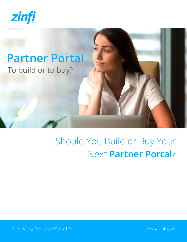

# **Partner Portal** To build or to buy?

# Should You Build or Buy Your Next **Partner Portal**?

Automating Profitable Growth™ [www.zinfi.com](http://www.zinfi.com)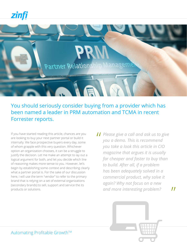zini



You should seriously consider buying from a provider which has been named a leader in PRM automation and TCMA in recent Forrester reports.

If you have started reading this article, chances are you are looking to buy your next partner portal or build it internally. We face prospective buyers every day, some of whom grapple with this very question. Whichever option an organization chooses, it can be a struggle to justify the decision. Let me make an attempt to lay out a logical argument for both, and let you decide which line of reasoning makes more sense to you. However, let's begin by establishing some context and describing clearly what a partner portal is. For the sake of our discussion here, I will use the term "vendor" to refer to the primary brand that is relying on a set of external organizations (secondary brands) to sell, support and service the its products or solutions.

*Please give a call and ask us to give*<br>
you a demo. This is recommend<br>
you take a look this article in GIO *you a demo. This is recommend you take a look this article in CIO magazine that argues it is usually far cheaper and faster to buy than to build. After all, if a problem has been adequately solved in a commercial product, why solve it again? Why not focus on a new and more interesting problem?*



 $^{\prime\prime}$ 

Automating Profitable Growth™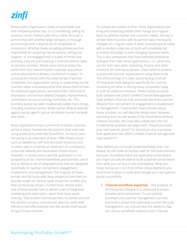# zinfi

Almost every organization today of reasonable size and complexity either has, or is considering, selling its solutions via an indirect sales force, either through a partnership with another large company or through partnerships with a diverse set of companies or institutions. Whether these co-selling entities are fully responsible for acquiring new prospects, selling and support or are engaged only in a part of these core activities, they are participating in channel referral, sales or services activities. Nearly every vertical today has some form of a channel-based customer acquisition and product/service delivery mechanism in place. To successfully interact with this external set of partner companies, the organization selling or supporting via the channel needs a business portal that allows them to train the external organizations and keep them informed of all product- and service-related changes, improvements, commission structure, pricing, incentives, etc. This business portal has been traditionally called many things, including a partner portal, dealer portal, alliance website, agency portal, agent's portal, wholesaler portal, extranet and more.

Most organizations have some kind of a basic business portal in place. Sometimes the portal is built internally using productivity tools like SharePoint . In many cases the portal is an extension of basic CRM infrastructure such as Salesforce, SAP and Microsoft Dynamics, but in other cases it is merely an extension of a company's corporate website and associated infrastructure. However, in almost every case the application is not purpose-built for channel workflows and activities, and it fails to deliver a set of integrated tools that are designed specifically for partner recruitment, engagement, enablement and management. The majority of these portals also fail to provide deep analytical tools that can provide insight on various types of partner profiles and their productivity drivers. Furthermore, almost every one of these portals fails to deliver a set of integrated marketing and sales tools—apart from basic assetsharing—that enable channel partners to market and sell the vendor's product and services with the same level efficiency and effectiveness that the vendor itself would bring to those activities.

To complicate matters further: Since organizations are living and breathing entities that change on a regular basis to address market and customer needs, the way a vendor does business with its partner base necessarily changes on a regular basis. A static business portal made with a random collection of tools will completely fail to evolve and adapt to ever-changing business needs. This is why companies that have extended enterprise software from their direct applications—i.e., what they use for their own sales, marketing, finance and other functions for internal purposes—have failed to achieve success with partner organizations using direct tools. The shortcomings of a static portal lacking a full set of integrated tools designed specifically for channel marketing are what is driving many companies today to look for external solutions. These include purposebuilt software like ZINFI's Unified Channel Management SaaS platform that can fully automate the entire partner lifecycle from recruitment to engagement to enablement to management. I have written many articles about these activities, so I will skip the details here. However, assuming that you are aware of the importance of these channel activities, let's now take a deep dive into the fundamental question we began with: Should you build your own partner portal? Or should you buy a purposebuilt application like ZINFI's Unified Channel management SaaS platform?

Now, before you conclude (understandably) that I am biased, let me make an honest case for the build scenario, because I do believe there are application areas where you might actually be able to build a partner portal better than what you can buy in the marketplace. What are these scenarios? I can think of five critical elements you must have in place to build and manage your own partner portal successfully:

**1. Channel workflow expertise** – The purpose of all enterprise software is to automate business activities and transactions. To successfully automate your partner management activities and build a portal that addresses partner life cycle management, you should have the ability to map out various workflows related to your channel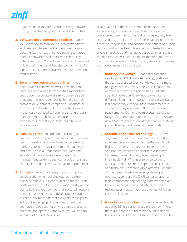organization. If you are a vendor selling software through the channel, you may be able to do this.

- **2. Software development capabilities** Once you know how to map your business workflows and create software development specification documents, the next thing you need is to have a team of software developers who can build your enterprise portal. You will need access to them not only to build the portal, but also to maintain it. As I indicated earlier, the portal will need to evolve on a regular basis.
- **3. External outsourcing capabilities** If you don't have a full-blown software development team but have a web team that has capability to set up your corporate website, you may be able to augment those resources by hiring external software development companies—onshore or offshore or both—to build your portal. However, in that case you need to have very strong program management capabilities to ensure these companies successfully custom-build to your requirements.
- **4. Executive time** In addition to building out channel workflow, you also need a cross-functional team to meet on a regular basis to decide which parts of your portal you want to build out, why and how. This is a fundamental requirement: You should have a portal development and management taskforce that can provide constant oversight and determine what has to happen next.
- **5. Budget** Last but not least, the most important consideration when building out your partner portal is to have sufficient budget so that you can finish what you start and, most importantly, keep it going. Building your own partner portal will require ongoing maintenance and development support, because inevitably different elements of the portal will require changing. It is very important that you have the budget not only to start, but also to maintain and operate. Otherwise, you will end up with an unfinished Mona Lisa.

 If you have all of these five elements in place, then you are in a good position to venture into a partner portal development effort. In reality, however, very few organizations actually have all of these capabilities. Even if they do, they should also consider the benefit of buying technology that has been developed and tested dozens or even hundreds of times, as opposed to investing in a solution that you will be building for the first time. With that in mind, here are the five primary reasons for buying your portal instead of building it:

- **1. Industry knowledge** Channel automation vendors like ZINFI build a technology platform that can address various workflows, from simple to highly complex. Every time we sell a portal to another customer, we gain valuable industryspecific knowledge. Every industry vertical is different. Even more important, every organization is different. While they all have requirements in common, many also have different or unique requirements. Our long-term access to a broad range of common and unique use cases has given us a depth of industry knowledge that your internal portal development team can never match.
- **2. Scalable and secure technology** Very few organizations, as I mentioned above, have the software development expertise that can build highly scalable, secure and usable enterprise applications. We can all perform at our family Christmas dinner, but very few of us will play in Carnegie Hall. Writing enterprise software application requires deep expertise in scalable and highly secure technology platforms. Because of that deep industry knowledge developed over years, vendors like ZINFI can draw upon a highly competent engineering team with domain knowledge across many industries, as well as technologies that can address a variety of "corner case" applications.
- **3. It works out of the box** Have you ever thought about building a car or house on your own? Yes, there are people out there who build their own houses and build cars, but they are hobbyists. The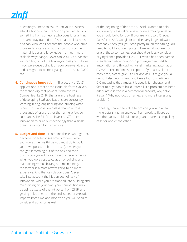

question you need to ask is: Can your business afford a hobbyist culture? Or do you want to buy something from someone who does it for a living, the same way trained professionals build a house or a car? Also, consider that the people who build thousands of cars and houses can source their material, labor and knowledge in a much more scalable way than you ever can. A \$10,000 car that you can buy out of the box might cost you millions if you were developing it on your own—and, in the end, it might not be nearly as good as the \$10,000 car.

**4. Continuous innovation** – The beauty of SaaS applications is that as the cloud platform evolves, the technology that powers it also evolves. Companies like ZINFI that are in the business of developing SaaS applications are constantly learning, hiring, engineering and building what is next. This innovation cost is shared across thousands of users rather than a mere few, so companies like ZINFI can invest a LOT more in innovation to build out technology than a single organization can for its own use.

**5. Budget and time** – I combine these two together, because for enterprises time is money. When you look at the five things you must do to build your own portal, it's hard to justify it when you can get something out of the box and then quickly configure it to your specific requirements. When you do a cost calculation of building and maintaining versus buying and maintaining, the former is almost always going to be more expensive. And that calculation doesn't even take into account the hidden cost of lack of innovation. While you are trapped into building and maintaining on your own, your competition may be using a state-of-the-art portal from ZINFI and getting miles ahead. In the end, speed of execution impacts both time and money, so you will need to consider that factor as well.

At the beginning of this article, I said I wanted to help you develop a logical rationale for determining whether you should build for buy. If you are Microsoft, Oracle, Salesforce, SAP, Google or another very large software company, then, yes, you have pretty much everything you need to build your own portal. However, if you are not one of these companies, you should seriously consider buying from a provider like ZINFI, which has been named a leader in partner relationship management (PRM) automation and through-channel marketing automation (TCMA) in recent Forrester reports. If you are still not convinced, please give us a call and ask us to give you a demo. I also recommend you take a look this article in CIO magazine that argues it is usually far cheaper and faster to buy than to build. After all, if a problem has been adequately solved in a commercial product, why solve it again? Why not focus on a new and more interesting problem?

Hopefully, I have been able to provide you with a few more details and an analytical framework to figure out whether you should build or buy, and make a compelling case for one or the other.